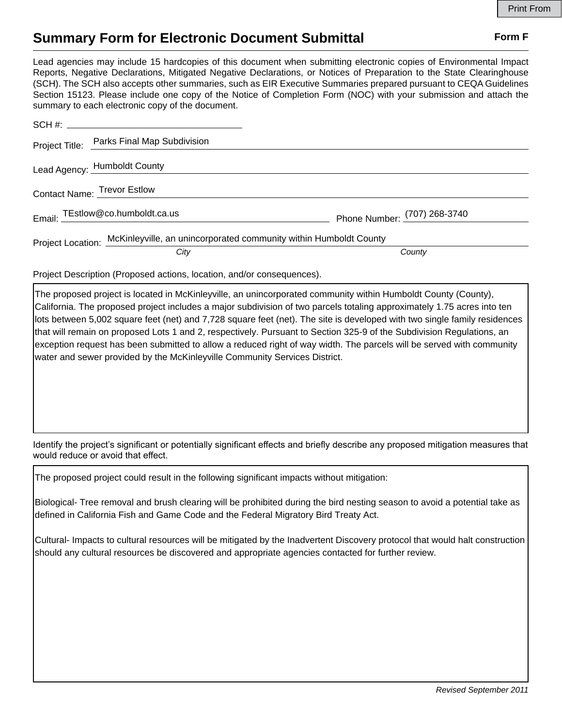## **Summary Form for Electronic Document Submittal Form F Form F**

Lead agencies may include 15 hardcopies of this document when submitting electronic copies of Environmental Impact Reports, Negative Declarations, Mitigated Negative Declarations, or Notices of Preparation to the State Clearinghouse (SCH). The SCH also accepts other summaries, such as EIR Executive Summaries prepared pursuant to CEQA Guidelines Section 15123. Please include one copy of the Notice of Completion Form (NOC) with your submission and attach the summary to each electronic copy of the document.

|                             | Project Title: Parks Final Map Subdivision                                          |                              |
|-----------------------------|-------------------------------------------------------------------------------------|------------------------------|
|                             | Lead Agency: Humboldt County                                                        |                              |
| Contact Name: Trevor Estlow |                                                                                     |                              |
|                             | Email: TEstlow@co.humboldt.ca.us                                                    | Phone Number: (707) 268-3740 |
|                             | Project Location: McKinleyville, an unincorporated community within Humboldt County |                              |
|                             | City                                                                                | County                       |

Project Description (Proposed actions, location, and/or consequences).

The proposed project is located in McKinleyville, an unincorporated community within Humboldt County (County), California. The proposed project includes a major subdivision of two parcels totaling approximately 1.75 acres into ten lots between 5,002 square feet (net) and 7,728 square feet (net). The site is developed with two single family residences that will remain on proposed Lots 1 and 2, respectively. Pursuant to Section 325-9 of the Subdivision Regulations, an exception request has been submitted to allow a reduced right of way width. The parcels will be served with community water and sewer provided by the McKinleyville Community Services District.

Identify the project's significant or potentially significant effects and briefly describe any proposed mitigation measures that would reduce or avoid that effect.

The proposed project could result in the following significant impacts without mitigation:

Biological- Tree removal and brush clearing will be prohibited during the bird nesting season to avoid a potential take as defined in California Fish and Game Code and the Federal Migratory Bird Treaty Act.

Cultural- Impacts to cultural resources will be mitigated by the Inadvertent Discovery protocol that would halt construction should any cultural resources be discovered and appropriate agencies contacted for further review.